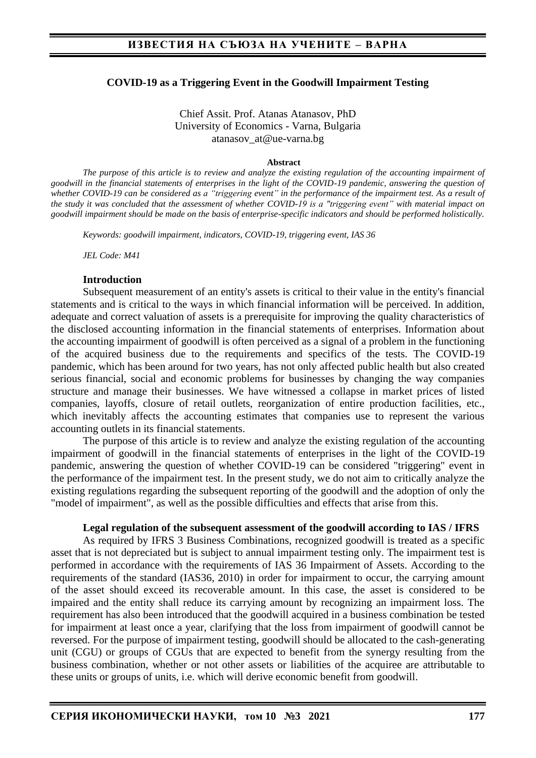### **COVID-19 as a Triggering Event in the Goodwill Impairment Testing**

Chief Assit. Prof. Atanas Atanasov, PhD University of Economics - Varna, Bulgaria atanasov\_at@ue-varna.bg

#### **Abstract**

*The purpose of this article is to review and analyze the existing regulation of the accounting impairment of goodwill in the financial statements of enterprises in the light of the COVID-19 pandemic, answering the question of whether COVID-19 can be considered as a "triggering event" in the performance of the impairment test. As a result of the study it was concluded that the assessment of whether COVID-19 is a "triggering event" with material impact on goodwill impairment should be made on the basis of enterprise-specific indicators and should be performed holistically.*

*Keywords: goodwill impairment, indicators, COVID-19, triggering event, IAS 36*

*JEL Code: M41*

#### **Introduction**

Subsequent measurement of an entity's assets is critical to their value in the entity's financial statements and is critical to the ways in which financial information will be perceived. In addition, adequate and correct valuation of assets is a prerequisite for improving the quality characteristics of the disclosed accounting information in the financial statements of enterprises. Information about the accounting impairment of goodwill is often perceived as a signal of a problem in the functioning of the acquired business due to the requirements and specifics of the tests. The COVID-19 pandemic, which has been around for two years, has not only affected public health but also created serious financial, social and economic problems for businesses by changing the way companies structure and manage their businesses. We have witnessed a collapse in market prices of listed companies, layoffs, closure of retail outlets, reorganization of entire production facilities, etc., which inevitably affects the accounting estimates that companies use to represent the various accounting outlets in its financial statements.

The purpose of this article is to review and analyze the existing regulation of the accounting impairment of goodwill in the financial statements of enterprises in the light of the COVID-19 pandemic, answering the question of whether COVID-19 can be considered "triggering" event in the performance of the impairment test. In the present study, we do not aim to critically analyze the existing regulations regarding the subsequent reporting of the goodwill and the adoption of only the "model of impairment", as well as the possible difficulties and effects that arise from this.

#### **Legal regulation of the subsequent assessment of the goodwill according to IAS / IFRS**

As required by IFRS 3 Business Combinations, recognized goodwill is treated as a specific asset that is not depreciated but is subject to annual impairment testing only. The impairment test is performed in accordance with the requirements of IAS 36 Impairment of Assets. According to the requirements of the standard (IAS36, 2010) in order for impairment to occur, the carrying amount of the asset should exceed its recoverable amount. In this case, the asset is considered to be impaired and the entity shall reduce its carrying amount by recognizing an impairment loss. The requirement has also been introduced that the goodwill acquired in a business combination be tested for impairment at least once a year, clarifying that the loss from impairment of goodwill cannot be reversed. For the purpose of impairment testing, goodwill should be allocated to the cash-generating unit (CGU) or groups of CGUs that are expected to benefit from the synergy resulting from the business combination, whether or not other assets or liabilities of the acquiree are attributable to these units or groups of units, i.e. which will derive economic benefit from goodwill.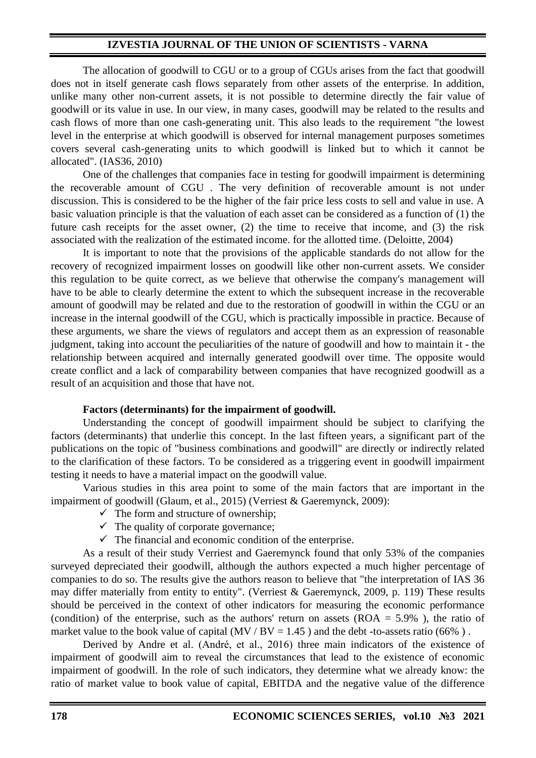The allocation of goodwill to CGU or to a group of CGUs arises from the fact that goodwill does not in itself generate cash flows separately from other assets of the enterprise. In addition, unlike many other non-current assets, it is not possible to determine directly the fair value of goodwill or its value in use. In our view, in many cases, goodwill may be related to the results and cash flows of more than one cash-generating unit. This also leads to the requirement "the lowest level in the enterprise at which goodwill is observed for internal management purposes sometimes covers several cash-generating units to which goodwill is linked but to which it cannot be allocated". (IAS36, 2010)

One of the challenges that companies face in testing for goodwill impairment is determining the recoverable amount of CGU . The very definition of recoverable amount is not under discussion. This is considered to be the higher of the fair price less costs to sell and value in use. A basic valuation principle is that the valuation of each asset can be considered as a function of (1) the future cash receipts for the asset owner, (2) the time to receive that income, and (3) the risk associated with the realization of the estimated income. for the allotted time. (Deloitte, 2004)

It is important to note that the provisions of the applicable standards do not allow for the recovery of recognized impairment losses on goodwill like other non-current assets. We consider this regulation to be quite correct, as we believe that otherwise the company's management will have to be able to clearly determine the extent to which the subsequent increase in the recoverable amount of goodwill may be related and due to the restoration of goodwill in within the CGU or an increase in the internal goodwill of the CGU, which is practically impossible in practice. Because of these arguments, we share the views of regulators and accept them as an expression of reasonable judgment, taking into account the peculiarities of the nature of goodwill and how to maintain it - the relationship between acquired and internally generated goodwill over time. The opposite would create conflict and a lack of comparability between companies that have recognized goodwill as a result of an acquisition and those that have not.

### **Factors (determinants) for the impairment of goodwill.**

Understanding the concept of goodwill impairment should be subject to clarifying the factors (determinants) that underlie this concept. In the last fifteen years, a significant part of the publications on the topic of "business combinations and goodwill" are directly or indirectly related to the clarification of these factors. To be considered as a triggering event in goodwill impairment testing it needs to have a material impact on the goodwill value.

Various studies in this area point to some of the main factors that are important in the impairment of goodwill (Glaum, et al., 2015) (Verriest & Gaeremynck, 2009):

- $\checkmark$  The form and structure of ownership;
- $\checkmark$  The quality of corporate governance;
- $\checkmark$  The financial and economic condition of the enterprise.

As a result of their study Verriest and Gaeremynck found that only 53% of the companies surveyed depreciated their goodwill, although the authors expected a much higher percentage of companies to do so. The results give the authors reason to believe that "the interpretation of IAS 36 may differ materially from entity to entity". (Verriest & Gaeremynck, 2009, p. 119) These results should be perceived in the context of other indicators for measuring the economic performance (condition) of the enterprise, such as the authors' return on assets ( $ROA = 5.9\%$ ), the ratio of market value to the book value of capital (MV / BV = 1.45) and the debt -to-assets ratio (66%).

Derived by Andre et al. (André, et al., 2016) three main indicators of the existence of impairment of goodwill aim to reveal the circumstances that lead to the existence of economic impairment of goodwill. In the role of such indicators, they determine what we already know: the ratio of market value to book value of capital, EBITDA and the negative value of the difference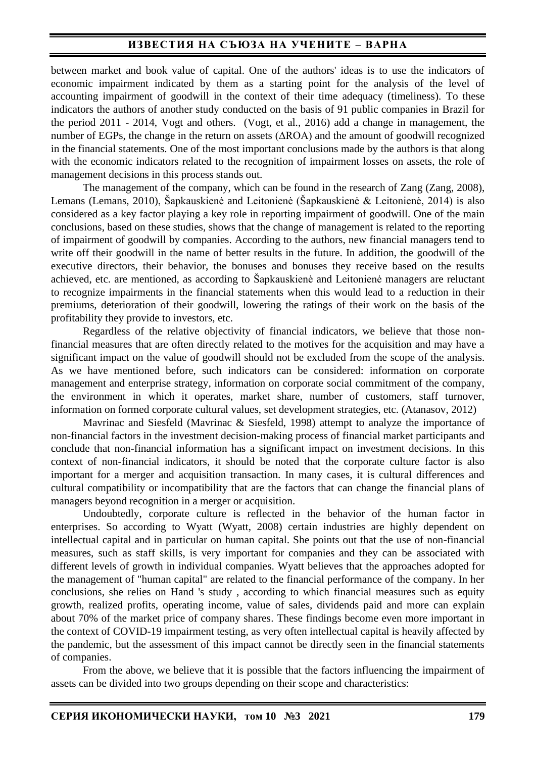## **ИЗВЕСТИЯ НА СЪЮЗА НА УЧЕНИТЕ – ВАРНА**

between market and book value of capital. One of the authors' ideas is to use the indicators of economic impairment indicated by them as a starting point for the analysis of the level of accounting impairment of goodwill in the context of their time adequacy (timeliness). To these indicators the authors of another study conducted on the basis of 91 public companies in Brazil for the period 2011 - 2014, Vogt and others. (Vogt, et al., 2016) add a change in management, the number of EGPs, the change in the return on assets (ΔROA) and the amount of goodwill recognized in the financial statements. One of the most important conclusions made by the authors is that along with the economic indicators related to the recognition of impairment losses on assets, the role of management decisions in this process stands out.

The management of the company, which can be found in the research of Zang (Zang, 2008), Lemans (Lemans, 2010), Šapkauskienė and Leitonienė (Šapkauskienė & Leitonienė, 2014) is also considered as a key factor playing a key role in reporting impairment of goodwill. One of the main conclusions, based on these studies, shows that the change of management is related to the reporting of impairment of goodwill by companies. According to the authors, new financial managers tend to write off their goodwill in the name of better results in the future. In addition, the goodwill of the executive directors, their behavior, the bonuses and bonuses they receive based on the results achieved, etc. are mentioned, as according to Šapkauskienė and Leitonienė managers are reluctant to recognize impairments in the financial statements when this would lead to a reduction in their premiums, deterioration of their goodwill, lowering the ratings of their work on the basis of the profitability they provide to investors, etc.

Regardless of the relative objectivity of financial indicators, we believe that those nonfinancial measures that are often directly related to the motives for the acquisition and may have a significant impact on the value of goodwill should not be excluded from the scope of the analysis. As we have mentioned before, such indicators can be considered: information on corporate management and enterprise strategy, information on corporate social commitment of the company, the environment in which it operates, market share, number of customers, staff turnover, information on formed corporate cultural values, set development strategies, etc. (Atanasov, 2012)

Mavrinac and Siesfeld (Mavrinac & Siesfeld, 1998) attempt to analyze the importance of non-financial factors in the investment decision-making process of financial market participants and conclude that non-financial information has a significant impact on investment decisions. In this context of non-financial indicators, it should be noted that the corporate culture factor is also important for a merger and acquisition transaction. In many cases, it is cultural differences and cultural compatibility or incompatibility that are the factors that can change the financial plans of managers beyond recognition in a merger or acquisition.

Undoubtedly, corporate culture is reflected in the behavior of the human factor in enterprises. So according to Wyatt (Wyatt, 2008) certain industries are highly dependent on intellectual capital and in particular on human capital. She points out that the use of non-financial measures, such as staff skills, is very important for companies and they can be associated with different levels of growth in individual companies. Wyatt believes that the approaches adopted for the management of "human capital" are related to the financial performance of the company. In her conclusions, she relies on Hand 's study , according to which financial measures such as equity growth, realized profits, operating income, value of sales, dividends paid and more can explain about 70% of the market price of company shares. These findings become even more important in the context of COVID-19 impairment testing, as very often intellectual capital is heavily affected by the pandemic, but the assessment of this impact cannot be directly seen in the financial statements of companies.

From the above, we believe that it is possible that the factors influencing the impairment of assets can be divided into two groups depending on their scope and characteristics: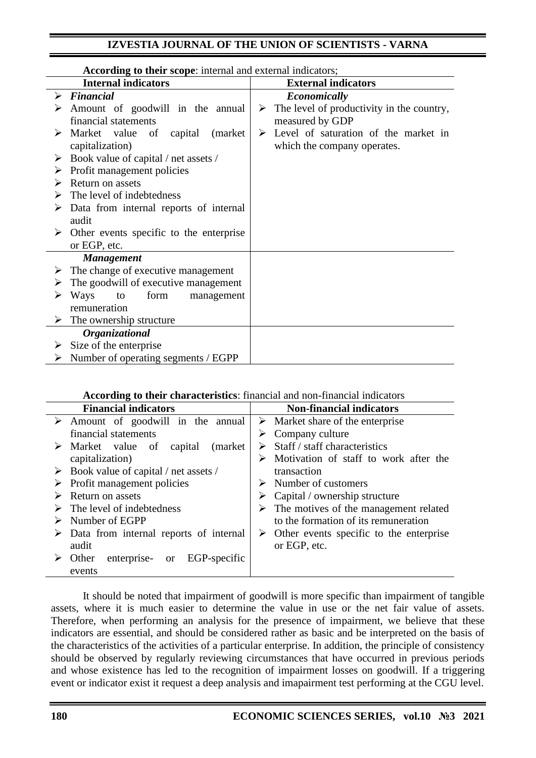| According to their scope: internal and external indicators; |                                                          |                                                            |
|-------------------------------------------------------------|----------------------------------------------------------|------------------------------------------------------------|
|                                                             | <b>Internal indicators</b>                               | <b>External indicators</b>                                 |
| ➤                                                           | <b>Financial</b>                                         | Economically                                               |
|                                                             | Amount of goodwill in the annual                         | $\triangleright$ The level of productivity in the country, |
|                                                             | financial statements                                     | measured by GDP                                            |
|                                                             | Market value of<br>capital<br>(market)                   | Level of saturation of the market in<br>➤                  |
|                                                             | capitalization)                                          | which the company operates.                                |
| ➤                                                           | Book value of capital / net assets /                     |                                                            |
|                                                             | Profit management policies                               |                                                            |
| ➤                                                           | Return on assets                                         |                                                            |
|                                                             | The level of indebtedness                                |                                                            |
|                                                             | Data from internal reports of internal                   |                                                            |
|                                                             | audit                                                    |                                                            |
|                                                             | $\triangleright$ Other events specific to the enterprise |                                                            |
|                                                             | or EGP, etc.                                             |                                                            |
|                                                             | <b>Management</b>                                        |                                                            |
|                                                             | The change of executive management                       |                                                            |
|                                                             | The goodwill of executive management                     |                                                            |
|                                                             | Ways<br>form<br>to<br>management                         |                                                            |
|                                                             | remuneration                                             |                                                            |
|                                                             | $\triangleright$ The ownership structure                 |                                                            |
|                                                             | Organizational                                           |                                                            |
| ➤                                                           | Size of the enterprise                                   |                                                            |
| ➤                                                           | Number of operating segments / EGPP                      |                                                            |

### **According to their characteristics**: financial and non-financial indicators

| <b>Financial indicators</b>                             | <b>Non-financial indicators</b>                          |
|---------------------------------------------------------|----------------------------------------------------------|
| $\triangleright$ Amount of goodwill in the annual       | $\triangleright$ Market share of the enterprise          |
| financial statements                                    | $\triangleright$ Company culture                         |
| (market)<br>$\triangleright$ Market value of<br>capital | Staff / staff characteristics                            |
| capitalization)                                         | Motivation of staff to work after the<br>➤               |
| $\triangleright$ Book value of capital / net assets /   | transaction                                              |
| $\triangleright$ Profit management policies             | $\triangleright$ Number of customers                     |
| Return on assets                                        | $\triangleright$ Capital / ownership structure           |
| The level of indebtedness                               | $\triangleright$ The motives of the management related   |
| Number of EGPP                                          | to the formation of its remuneration                     |
| $\triangleright$ Data from internal reports of internal | $\triangleright$ Other events specific to the enterprise |
| audit                                                   | or EGP, etc.                                             |
| EGP-specific<br>enterprise-<br>Other<br><sub>or</sub>   |                                                          |
| events                                                  |                                                          |

It should be noted that impairment of goodwill is more specific than impairment of tangible assets, where it is much easier to determine the value in use or the net fair value of assets. Therefore, when performing an analysis for the presence of impairment, we believe that these indicators are essential, and should be considered rather as basic and be interpreted on the basis of the characteristics of the activities of a particular enterprise. In addition, the principle of consistency should be observed by regularly reviewing circumstances that have occurred in previous periods and whose existence has led to the recognition of impairment losses on goodwill. If a triggering event or indicator exist it request a deep analysis and imapairment test performing at the CGU level.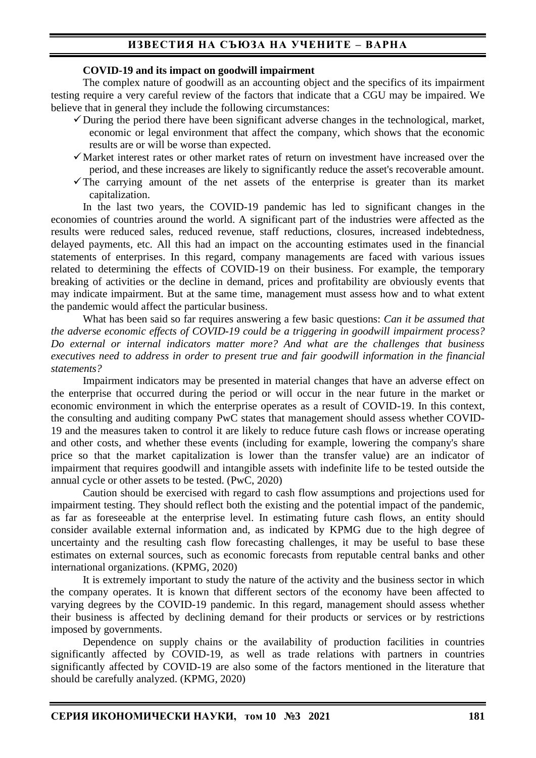# **ИЗВЕСТИЯ НА СЪЮЗА НА УЧЕНИТЕ – ВАРНА**

#### **COVID-19 and its impact on goodwill impairment**

The complex nature of goodwill as an accounting object and the specifics of its impairment testing require a very careful review of the factors that indicate that a CGU may be impaired. We believe that in general they include the following circumstances:

- $\checkmark$  During the period there have been significant adverse changes in the technological, market, economic or legal environment that affect the company, which shows that the economic results are or will be worse than expected.
- $\checkmark$  Market interest rates or other market rates of return on investment have increased over the period, and these increases are likely to significantly reduce the asset's recoverable amount.
- $\checkmark$ The carrying amount of the net assets of the enterprise is greater than its market capitalization.

In the last two years, the COVID-19 pandemic has led to significant changes in the economies of countries around the world. A significant part of the industries were affected as the results were reduced sales, reduced revenue, staff reductions, closures, increased indebtedness, delayed payments, etc. All this had an impact on the accounting estimates used in the financial statements of enterprises. In this regard, company managements are faced with various issues related to determining the effects of COVID-19 on their business. For example, the temporary breaking of activities or the decline in demand, prices and profitability are obviously events that may indicate impairment. But at the same time, management must assess how and to what extent the pandemic would affect the particular business.

What has been said so far requires answering a few basic questions: *Can it be assumed that the adverse economic effects of COVID-19 could be a triggering in goodwill impairment process? Do external or internal indicators matter more? And what are the challenges that business executives need to address in order to present true and fair goodwill information in the financial statements?*

Impairment indicators may be presented in material changes that have an adverse effect on the enterprise that occurred during the period or will occur in the near future in the market or economic environment in which the enterprise operates as a result of COVID-19. In this context, the consulting and auditing company PwC states that management should assess whether COVID-19 and the measures taken to control it are likely to reduce future cash flows or increase operating and other costs, and whether these events (including for example, lowering the company's share price so that the market capitalization is lower than the transfer value) are an indicator of impairment that requires goodwill and intangible assets with indefinite life to be tested outside the annual cycle or other assets to be tested. (PwC, 2020)

Caution should be exercised with regard to cash flow assumptions and projections used for impairment testing. They should reflect both the existing and the potential impact of the pandemic, as far as foreseeable at the enterprise level. In estimating future cash flows, an entity should consider available external information and, as indicated by KPMG due to the high degree of uncertainty and the resulting cash flow forecasting challenges, it may be useful to base these estimates on external sources, such as economic forecasts from reputable central banks and other international organizations. (KPMG, 2020)

It is extremely important to study the nature of the activity and the business sector in which the company operates. It is known that different sectors of the economy have been affected to varying degrees by the COVID-19 pandemic. In this regard, management should assess whether their business is affected by declining demand for their products or services or by restrictions imposed by governments.

Dependence on supply chains or the availability of production facilities in countries significantly affected by COVID-19, as well as trade relations with partners in countries significantly affected by COVID-19 are also some of the factors mentioned in the literature that should be carefully analyzed. (KPMG, 2020)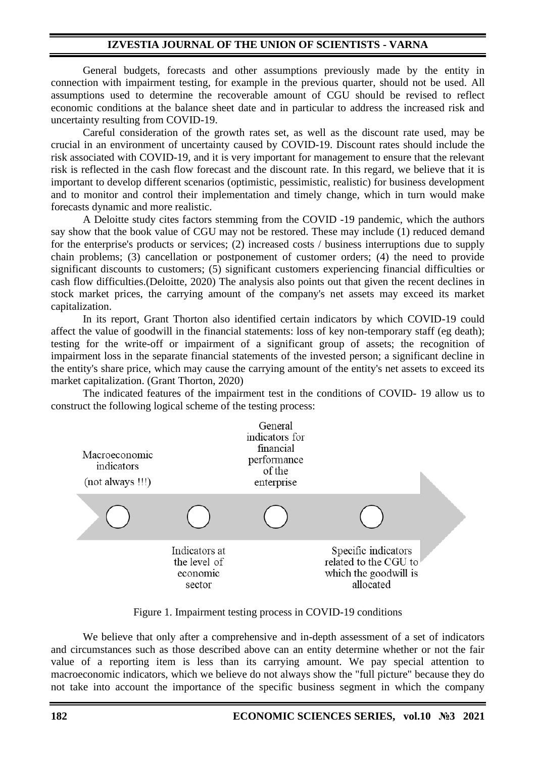General budgets, forecasts and other assumptions previously made by the entity in connection with impairment testing, for example in the previous quarter, should not be used. All assumptions used to determine the recoverable amount of CGU should be revised to reflect economic conditions at the balance sheet date and in particular to address the increased risk and uncertainty resulting from COVID-19.

Careful consideration of the growth rates set, as well as the discount rate used, may be crucial in an environment of uncertainty caused by COVID-19. Discount rates should include the risk associated with COVID-19, and it is very important for management to ensure that the relevant risk is reflected in the cash flow forecast and the discount rate. In this regard, we believe that it is important to develop different scenarios (optimistic, pessimistic, realistic) for business development and to monitor and control their implementation and timely change, which in turn would make forecasts dynamic and more realistic.

A Deloitte study cites factors stemming from the COVID -19 pandemic, which the authors say show that the book value of CGU may not be restored. These may include (1) reduced demand for the enterprise's products or services; (2) increased costs / business interruptions due to supply chain problems; (3) cancellation or postponement of customer orders; (4) the need to provide significant discounts to customers; (5) significant customers experiencing financial difficulties or cash flow difficulties.(Deloitte, 2020) The analysis also points out that given the recent declines in stock market prices, the carrying amount of the company's net assets may exceed its market capitalization.

In its report, Grant Thorton also identified certain indicators by which COVID-19 could affect the value of goodwill in the financial statements: loss of key non-temporary staff (eg death); testing for the write-off or impairment of a significant group of assets; the recognition of impairment loss in the separate financial statements of the invested person; a significant decline in the entity's share price, which may cause the carrying amount of the entity's net assets to exceed its market capitalization. (Grant Thorton, 2020)

The indicated features of the impairment test in the conditions of COVID- 19 allow us to construct the following logical scheme of the testing process:



Figure 1. Impairment testing process in COVID-19 conditions

We believe that only after a comprehensive and in-depth assessment of a set of indicators and circumstances such as those described above can an entity determine whether or not the fair value of a reporting item is less than its carrying amount. We pay special attention to macroeconomic indicators, which we believe do not always show the "full picture" because they do not take into account the importance of the specific business segment in which the company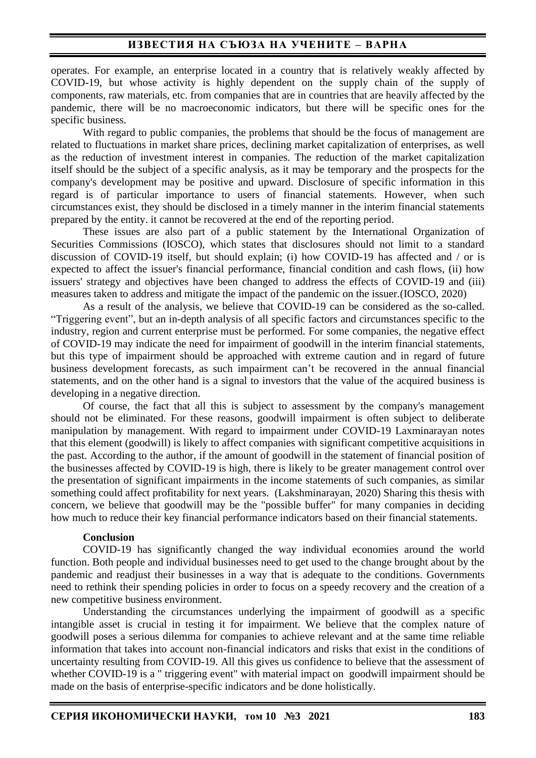## **ИЗВЕСТИЯ НА СЪЮЗА НА УЧЕНИТЕ – ВАРНА**

operates. For example, an enterprise located in a country that is relatively weakly affected by COVID-19, but whose activity is highly dependent on the supply chain of the supply of components, raw materials, etc. from companies that are in countries that are heavily affected by the pandemic, there will be no macroeconomic indicators, but there will be specific ones for the specific business.

With regard to public companies, the problems that should be the focus of management are related to fluctuations in market share prices, declining market capitalization of enterprises, as well as the reduction of investment interest in companies. The reduction of the market capitalization itself should be the subject of a specific analysis, as it may be temporary and the prospects for the company's development may be positive and upward. Disclosure of specific information in this regard is of particular importance to users of financial statements. However, when such circumstances exist, they should be disclosed in a timely manner in the interim financial statements prepared by the entity. it cannot be recovered at the end of the reporting period.

These issues are also part of a public statement by the International Organization of Securities Commissions (IOSCO), which states that disclosures should not limit to a standard discussion of COVID-19 itself, but should explain; (i) how COVID-19 has affected and / or is expected to affect the issuer's financial performance, financial condition and cash flows, (ii) how issuers' strategy and objectives have been changed to address the effects of COVID-19 and (iii) measures taken to address and mitigate the impact of the pandemic on the issuer.(IOSCO, 2020)

As a result of the analysis, we believe that COVID-19 can be considered as the so-called. "Triggering event", but an in-depth analysis of all specific factors and circumstances specific to the industry, region and current enterprise must be performed. For some companies, the negative effect of COVID-19 may indicate the need for impairment of goodwill in the interim financial statements, but this type of impairment should be approached with extreme caution and in regard of future business development forecasts, as such impairment can't be recovered in the annual financial statements, and on the other hand is a signal to investors that the value of the acquired business is developing in a negative direction.

Of course, the fact that all this is subject to assessment by the company's management should not be eliminated. For these reasons, goodwill impairment is often subject to deliberate manipulation by management. With regard to impairment under COVID-19 Laxminarayan notes that this element (goodwill) is likely to affect companies with significant competitive acquisitions in the past. According to the author, if the amount of goodwill in the statement of financial position of the businesses affected by COVID-19 is high, there is likely to be greater management control over the presentation of significant impairments in the income statements of such companies, as similar something could affect profitability for next years. (Lakshminarayan, 2020) Sharing this thesis with concern, we believe that goodwill may be the "possible buffer" for many companies in deciding how much to reduce their key financial performance indicators based on their financial statements.

### **Conclusion**

COVID-19 has significantly changed the way individual economies around the world function. Both people and individual businesses need to get used to the change brought about by the pandemic and readjust their businesses in a way that is adequate to the conditions. Governments need to rethink their spending policies in order to focus on a speedy recovery and the creation of a new competitive business environment.

Understanding the circumstances underlying the impairment of goodwill as a specific intangible asset is crucial in testing it for impairment. We believe that the complex nature of goodwill poses a serious dilemma for companies to achieve relevant and at the same time reliable information that takes into account non-financial indicators and risks that exist in the conditions of uncertainty resulting from COVID-19. All this gives us confidence to believe that the assessment of whether COVID-19 is a " triggering event" with material impact on goodwill impairment should be made on the basis of enterprise-specific indicators and be done holistically.